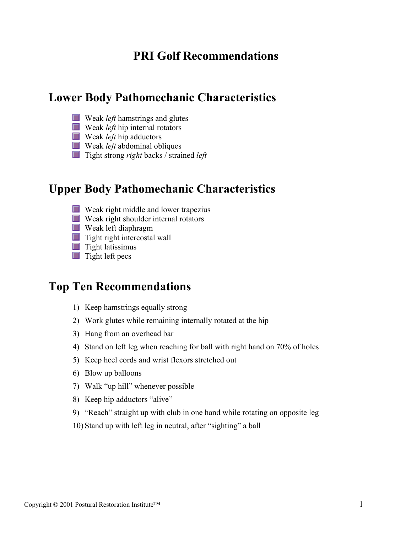# **PRI Golf Recommendations**

## **Lower Body Pathomechanic Characteristics**

- **N** Weak *left* hamstrings and glutes
- **Weak** *left* hip internal rotators
- **Weak** *left* hip adductors
- **N** Weak *left* abdominal obliques
- Tight strong *right* backs / strained *left*

# **Upper Body Pathomechanic Characteristics**

- $\blacksquare$  Weak right middle and lower trapezius
- **Weak right shoulder internal rotators**
- **Weak left diaphragm**
- $\Box$  Tight right intercostal wall
- $\blacksquare$  Tight latissimus
- $\Box$  Tight left pecs

# **Top Ten Recommendations**

- 1) Keep hamstrings equally strong
- 2) Work glutes while remaining internally rotated at the hip
- 3) Hang from an overhead bar
- 4) Stand on left leg when reaching for ball with right hand on 70% of holes
- 5) Keep heel cords and wrist flexors stretched out
- 6) Blow up balloons
- 7) Walk "up hill" whenever possible
- 8) Keep hip adductors "alive"
- 9) "Reach" straight up with club in one hand while rotating on opposite leg
- 10) Stand up with left leg in neutral, after "sighting" a ball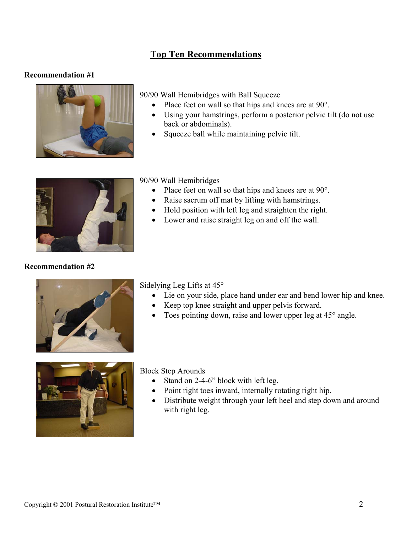### **Top Ten Recommendations**

#### **Recommendation #1**



90/90 Wall Hemibridges with Ball Squeeze

- Place feet on wall so that hips and knees are at 90°.
- Using your hamstrings, perform a posterior pelvic tilt (do not use back or abdominals).
- Squeeze ball while maintaining pelvic tilt.



**Recommendation #2** 

#### 90/90 Wall Hemibridges

- Place feet on wall so that hips and knees are at 90°.
- Raise sacrum off mat by lifting with hamstrings.
- Hold position with left leg and straighten the right.
- Lower and raise straight leg on and off the wall.



Sidelying Leg Lifts at 45°

- Lie on your side, place hand under ear and bend lower hip and knee.
- Keep top knee straight and upper pelvis forward.
- Toes pointing down, raise and lower upper leg at 45<sup>°</sup> angle.



Block Step Arounds

- Stand on 2-4-6" block with left leg.
- Point right toes inward, internally rotating right hip.
- Distribute weight through your left heel and step down and around with right leg.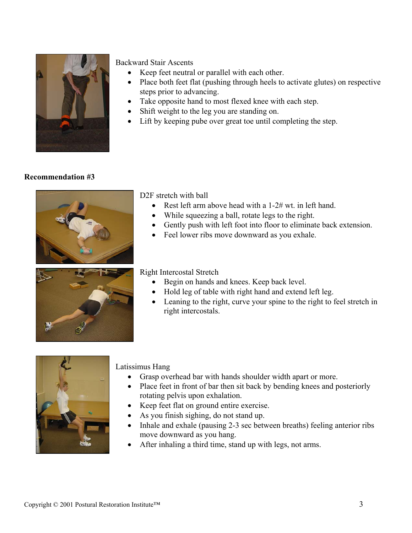

Backward Stair Ascents

- Keep feet neutral or parallel with each other.
- Place both feet flat (pushing through heels to activate glutes) on respective steps prior to advancing.
- Take opposite hand to most flexed knee with each step.
- Shift weight to the leg you are standing on.
- Lift by keeping pube over great toe until completing the step.

### **Recommendation #3**



D<sub>2F</sub> stretch with ball

- Rest left arm above head with a 1-2# wt. in left hand.
- While squeezing a ball, rotate legs to the right.
- Gently push with left foot into floor to eliminate back extension.
- Feel lower ribs move downward as you exhale.



Right Intercostal Stretch

- Begin on hands and knees. Keep back level.
- Hold leg of table with right hand and extend left leg.
- Leaning to the right, curve your spine to the right to feel stretch in right intercostals.



Latissimus Hang

- Grasp overhead bar with hands shoulder width apart or more.
- Place feet in front of bar then sit back by bending knees and posteriorly rotating pelvis upon exhalation.
- Keep feet flat on ground entire exercise.
- As you finish sighing, do not stand up.
- Inhale and exhale (pausing 2-3 sec between breaths) feeling anterior ribs move downward as you hang.
- After inhaling a third time, stand up with legs, not arms.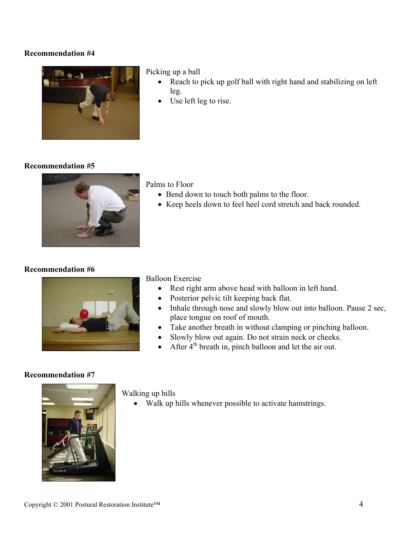#### **Recommendation #4**



Picking up a ball

- Reach to pick up golf ball with right hand and stabilizing on left leg.
- Use left leg to rise.

#### **Recommendation #5**



Palms to Floor

- Bend down to touch both palms to the floor.
- Keep heels down to feel heel cord stretch and back rounded.

#### **Recommendation #6**



#### **Recommendation #7**

Balloon Exercise

- Rest right arm above head with balloon in left hand.
- Posterior pelvic tilt keeping back flat.
- Inhale through nose and slowly blow out into balloon. Pause 2 sec, place tongue on roof of mouth.
- Take another breath in without clamping or pinching balloon.
- Slowly blow out again. Do not strain neck or cheeks.
- After  $4<sup>th</sup>$  breath in, pinch balloon and let the air out.



#### Walking up hills

• Walk up hills whenever possible to activate hamstrings.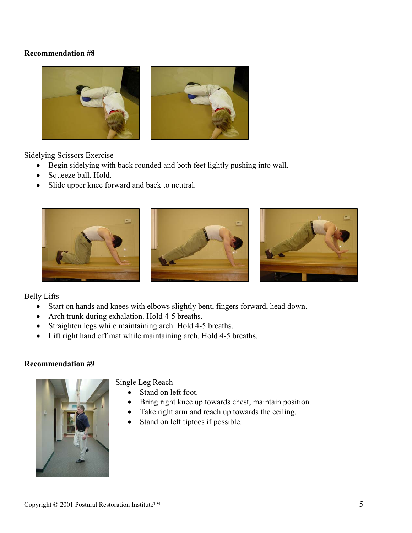### **Recommendation #8**



Sidelying Scissors Exercise

- Begin sidelying with back rounded and both feet lightly pushing into wall.
- Squeeze ball. Hold.
- Slide upper knee forward and back to neutral.



Belly Lifts

- Start on hands and knees with elbows slightly bent, fingers forward, head down.
- Arch trunk during exhalation. Hold 4-5 breaths.
- Straighten legs while maintaining arch. Hold 4-5 breaths.
- Lift right hand off mat while maintaining arch. Hold 4-5 breaths.

#### **Recommendation #9**



Single Leg Reach

- Stand on left foot.
- Bring right knee up towards chest, maintain position.
- Take right arm and reach up towards the ceiling.
- Stand on left tiptoes if possible.